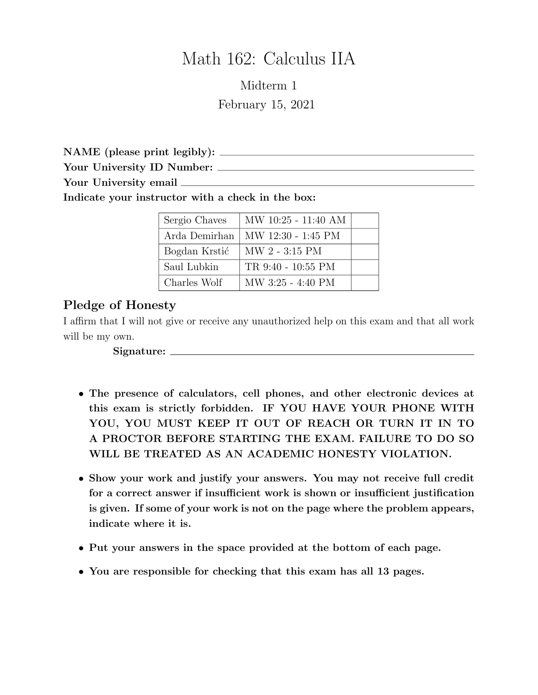# Math 162: Calculus IIA

Midterm 1 February 15, 2021

NAME (please print legibly):

Your University ID Number:

Your University email  $\_\_$ 

Indicate your instructor with a check in the box:

| Sergio Chaves | MW 10:25 - 11:40 AM |  |
|---------------|---------------------|--|
| Arda Demirhan | MW 12:30 - 1:45 PM  |  |
| Bogdan Krstić | MW 2 - 3:15 PM      |  |
| Saul Lubkin   | TR 9:40 - 10:55 PM  |  |
| Charles Wolf  | MW 3:25 - 4:40 PM   |  |

## Pledge of Honesty

I affirm that I will not give or receive any unauthorized help on this exam and that all work will be my own.

Signature:

- *•* The presence of calculators, cell phones, and other electronic devices at this exam is strictly forbidden. IF YOU HAVE YOUR PHONE WITH YOU, YOU MUST KEEP IT OUT OF REACH OR TURN IT IN TO A PROCTOR BEFORE STARTING THE EXAM. FAILURE TO DO SO WILL BE TREATED AS AN ACADEMIC HONESTY VIOLATION.
- Show your work and justify your answers. You may not receive full credit for a correct answer if insufficient work is shown or insufficient justification is given. If some of your work is not on the page where the problem appears, indicate where it is.
- *•* Put your answers in the space provided at the bottom of each page.
- You are responsible for checking that this exam has all 13 pages.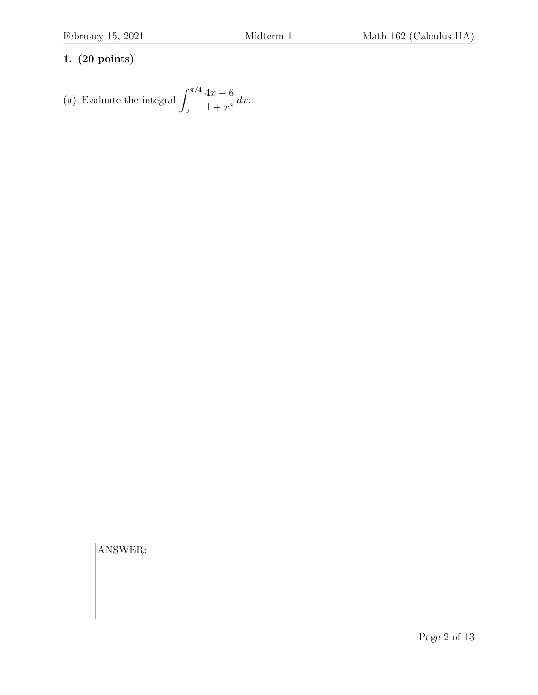(a) Evaluate the integral 
$$
\int_0^{\pi/4} \frac{4x - 6}{1 + x^2} dx.
$$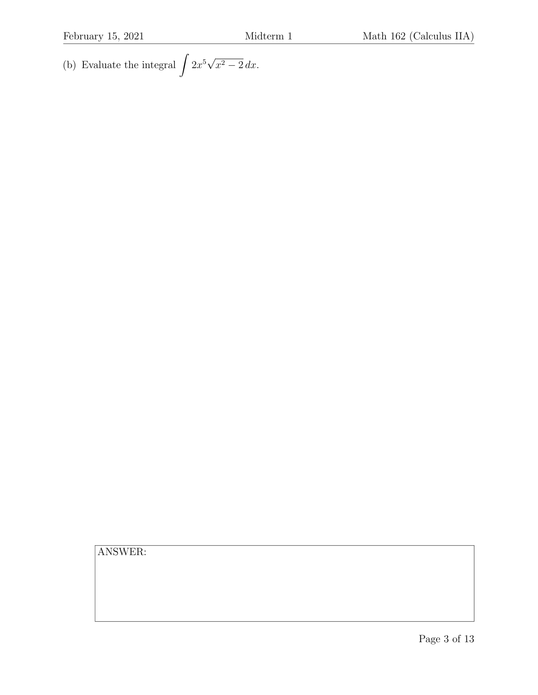(b) Evaluate the integral  $\int 2x^5 \sqrt{x^2 - 2} \, dx.$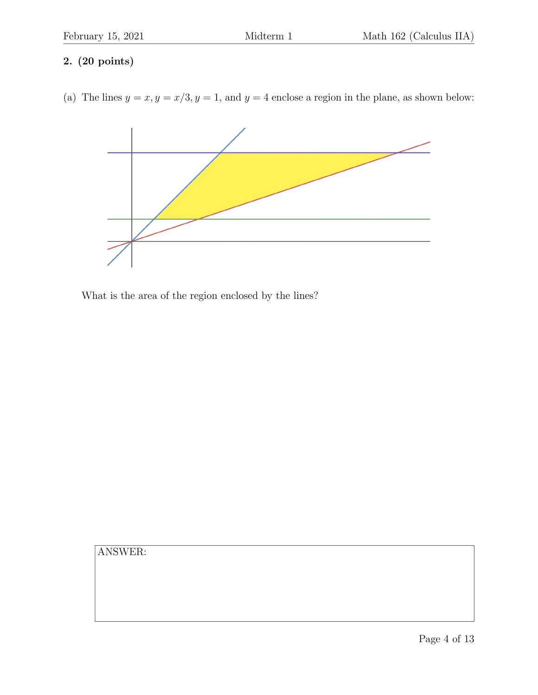(a) The lines  $y = x, y = x/3, y = 1$ , and  $y = 4$  enclose a region in the plane, as shown below:



What is the area of the region enclosed by the lines?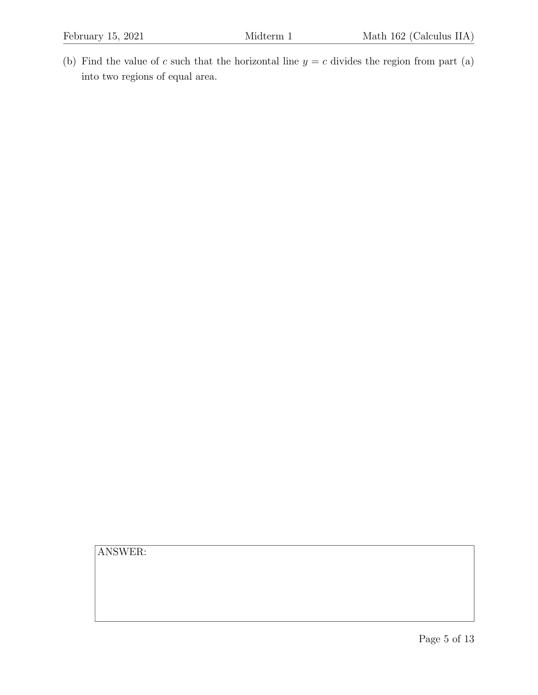(b) Find the value of  $c$  such that the horizontal line  $y = c$  divides the region from part (a) into two regions of equal area.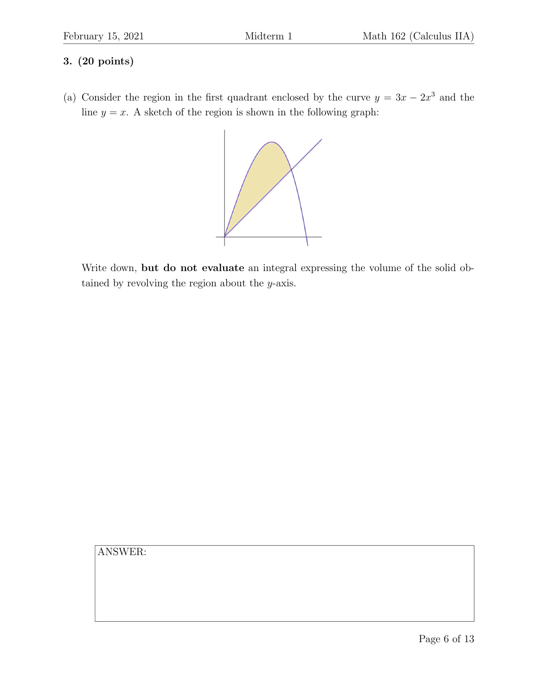(a) Consider the region in the first quadrant enclosed by the curve  $y = 3x - 2x^3$  and the line  $y = x$ . A sketch of the region is shown in the following graph:



Write down, but do not evaluate an integral expressing the volume of the solid obtained by revolving the region about the *y*-axis.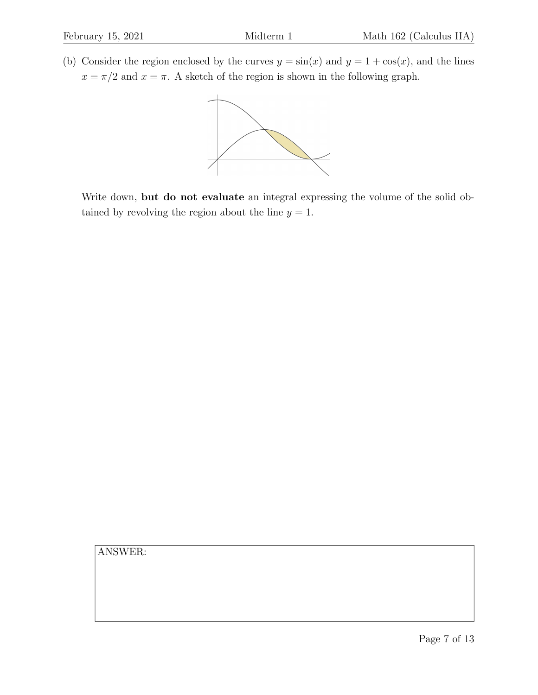(b) Consider the region enclosed by the curves  $y = sin(x)$  and  $y = 1 + cos(x)$ , and the lines  $x = \pi/2$  and  $x = \pi$ . A sketch of the region is shown in the following graph.



Write down, but do not evaluate an integral expressing the volume of the solid obtained by revolving the region about the line  $y = 1$ .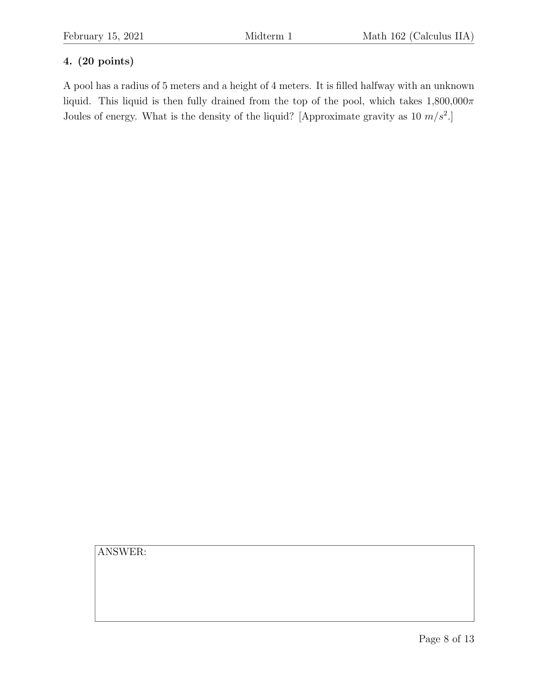A pool has a radius of 5 meters and a height of 4 meters. It is filled halfway with an unknown liquid. This liquid is then fully drained from the top of the pool, which takes  $1,800,000\pi$ Joules of energy. What is the density of the liquid? [Approximate gravity as 10 *m/s*<sup>2</sup>.]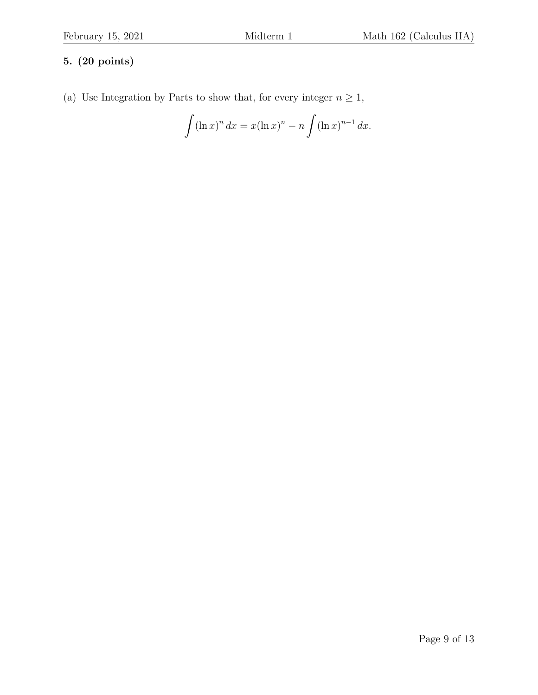(a) Use Integration by Parts to show that, for every integer  $n \geq 1$ ,

$$
\int (\ln x)^n dx = x(\ln x)^n - n \int (\ln x)^{n-1} dx.
$$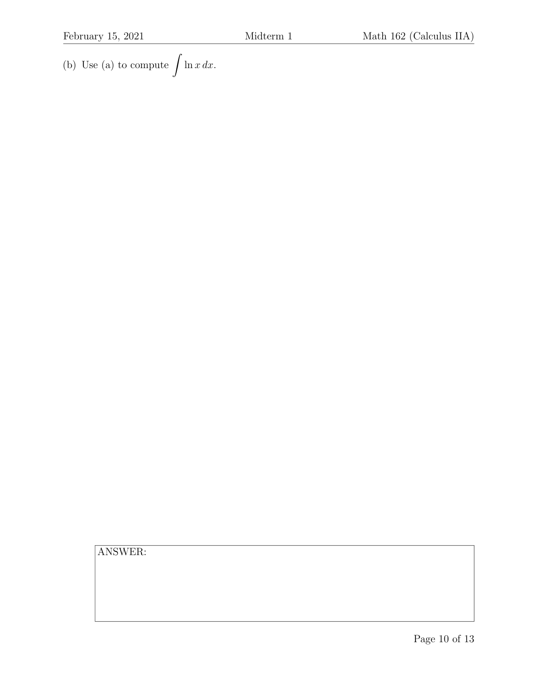(b) Use (a) to compute !  $ln x dx$ .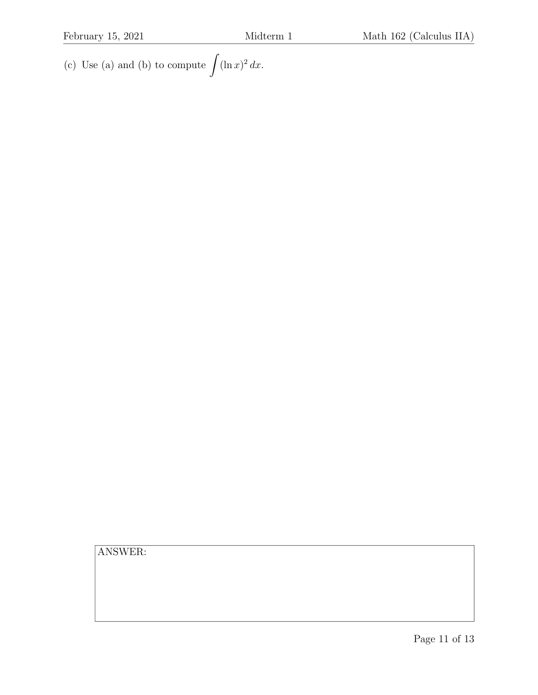(c) Use (a) and (b) to compute !!  $(\ln x)^2 dx$ .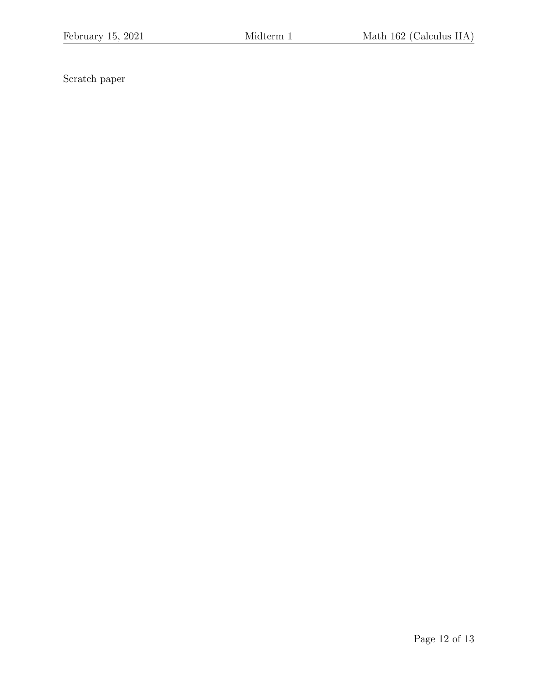Scratch paper